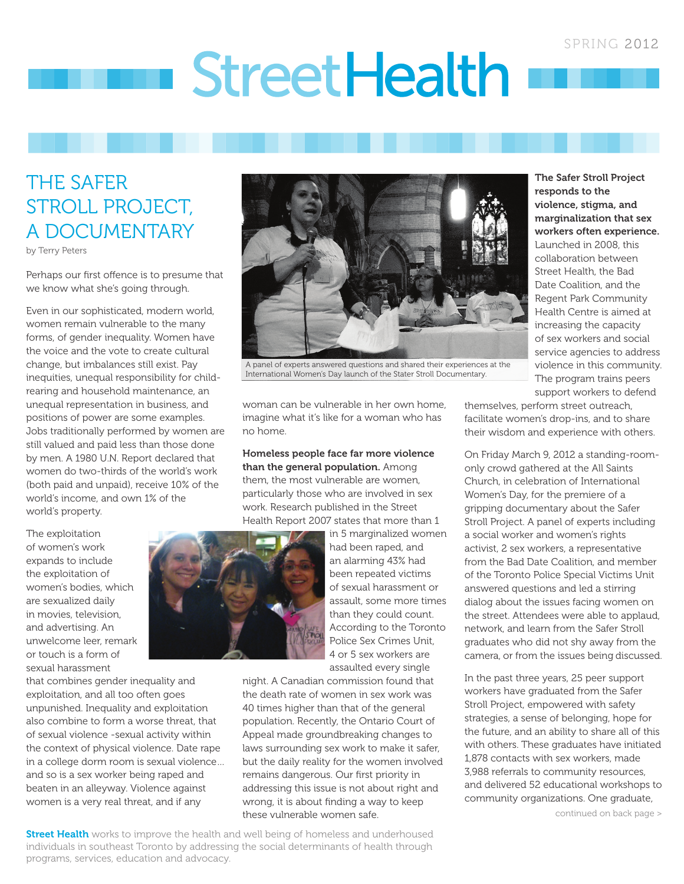# StreetHealth

# THE SAFER STROLL PROJECT, A DOCUMENTARY

by Terry Peters

Perhaps our first offence is to presume that we know what she's going through.

Even in our sophisticated, modern world, women remain vulnerable to the many forms, of gender inequality. Women have the voice and the vote to create cultural change, but imbalances still exist. Pay inequities, unequal responsibility for childrearing and household maintenance, an unequal representation in business, and positions of power are some examples. Jobs traditionally performed by women are still valued and paid less than those done by men. A 1980 U.N. Report declared that women do two-thirds of the world's work (both paid and unpaid), receive 10% of the world's income, and own 1% of the world's property.

The exploitation of women's work expands to include the exploitation of women's bodies, which are sexualized daily in movies, television, and advertising. An unwelcome leer, remark or touch is a form of sexual harassment

that combines gender inequality and exploitation, and all too often goes unpunished. Inequality and exploitation also combine to form a worse threat, that of sexual violence -sexual activity within the context of physical violence. Date rape in a college dorm room is sexual violence… and so is a sex worker being raped and beaten in an alleyway. Violence against women is a very real threat, and if any



A panel of experts answered questions and shared their experiences at the International Women's Day launch of the Stater Stroll Documentary.

woman can be vulnerable in her own home, imagine what it's like for a woman who has no home.

Homeless people face far more violence than the general population. Among them, the most vulnerable are women, particularly those who are involved in sex work. Research published in the Street Health Report 2007 states that more than 1



in 5 marginalized women had been raped, and an alarming 43% had been repeated victims of sexual harassment or assault, some more times than they could count. According to the Toronto Police Sex Crimes Unit, 4 or 5 sex workers are assaulted every single

night. A Canadian commission found that the death rate of women in sex work was 40 times higher than that of the general population. Recently, the Ontario Court of Appeal made groundbreaking changes to laws surrounding sex work to make it safer, but the daily reality for the women involved remains dangerous. Our first priority in addressing this issue is not about right and wrong, it is about finding a way to keep these vulnerable women safe.

**Street Health** works to improve the health and well being of homeless and underhoused individuals in southeast Toronto by addressing the social determinants of health through programs, services, education and advocacy.

The Safer Stroll Project responds to the violence, stigma, and marginalization that sex workers often experience. Launched in 2008, this collaboration between Street Health, the Bad Date Coalition, and the Regent Park Community Health Centre is aimed at increasing the capacity of sex workers and social service agencies to address violence in this community. The program trains peers support workers to defend

themselves, perform street outreach, facilitate women's drop-ins, and to share their wisdom and experience with others.

On Friday March 9, 2012 a standing-roomonly crowd gathered at the All Saints Church, in celebration of International Women's Day, for the premiere of a gripping documentary about the Safer Stroll Project. A panel of experts including a social worker and women's rights activist, 2 sex workers, a representative from the Bad Date Coalition, and member of the Toronto Police Special Victims Unit answered questions and led a stirring dialog about the issues facing women on the street. Attendees were able to applaud, network, and learn from the Safer Stroll graduates who did not shy away from the camera, or from the issues being discussed.

In the past three years, 25 peer support workers have graduated from the Safer Stroll Project, empowered with safety strategies, a sense of belonging, hope for the future, and an ability to share all of this with others. These graduates have initiated 1,878 contacts with sex workers, made 3,988 referrals to community resources, and delivered 52 educational workshops to community organizations. One graduate,

continued on back page >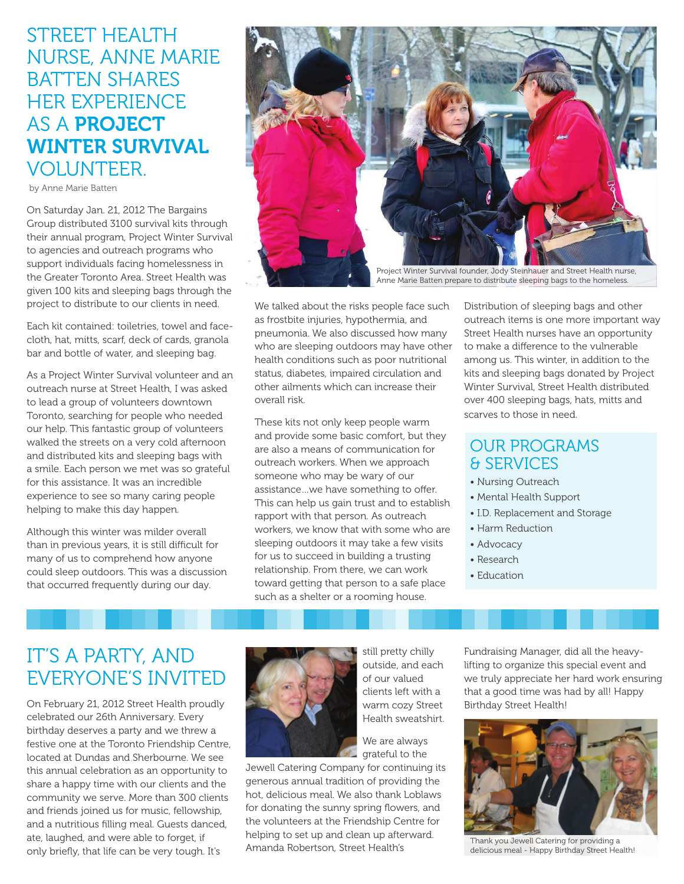# Street Health Nurse, Anne Marie BATTEN SHARES her experience AS A **PROJECT** Winter Survival VOLUNTEER.

by Anne Marie Batten

On Saturday Jan. 21, 2012 The Bargains Group distributed 3100 survival kits through their annual program, Project Winter Survival to agencies and outreach programs who support individuals facing homelessness in the Greater Toronto Area. Street Health was given 100 kits and sleeping bags through the project to distribute to our clients in need.

Each kit contained: toiletries, towel and facecloth, hat, mitts, scarf, deck of cards, granola bar and bottle of water, and sleeping bag.

As a Project Winter Survival volunteer and an outreach nurse at Street Health, I was asked to lead a group of volunteers downtown Toronto, searching for people who needed our help. This fantastic group of volunteers walked the streets on a very cold afternoon and distributed kits and sleeping bags with a smile. Each person we met was so grateful for this assistance. It was an incredible experience to see so many caring people helping to make this day happen.

Although this winter was milder overall than in previous years, it is still difficult for many of us to comprehend how anyone could sleep outdoors. This was a discussion that occurred frequently during our day.



We talked about the risks people face such as frostbite injuries, hypothermia, and pneumonia. We also discussed how many who are sleeping outdoors may have other health conditions such as poor nutritional status, diabetes, impaired circulation and other ailments which can increase their overall risk.

These kits not only keep people warm and provide some basic comfort, but they are also a means of communication for outreach workers. When we approach someone who may be wary of our assistance…we have something to offer. This can help us gain trust and to establish rapport with that person. As outreach workers, we know that with some who are sleeping outdoors it may take a few visits for us to succeed in building a trusting relationship. From there, we can work toward getting that person to a safe place such as a shelter or a rooming house.

Distribution of sleeping bags and other outreach items is one more important way Street Health nurses have an opportunity to make a difference to the vulnerable among us. This winter, in addition to the kits and sleeping bags donated by Project Winter Survival, Street Health distributed over 400 sleeping bags, hats, mitts and scarves to those in need.

## OUR PROGRAMS & SERVICES

- Nursing Outreach
- Mental Health Support
- I.D. Replacement and Storage
- Harm Reduction
- Advocacy
- Research
- Education

# IT'S A PARTY, AND EVERYONE'S INVITED

On February 21, 2012 Street Health proudly celebrated our 26th Anniversary. Every birthday deserves a party and we threw a festive one at the Toronto Friendship Centre, located at Dundas and Sherbourne. We see this annual celebration as an opportunity to share a happy time with our clients and the community we serve. More than 300 clients and friends joined us for music, fellowship, and a nutritious filling meal. Guests danced, ate, laughed, and were able to forget, if only briefly, that life can be very tough. It's



still pretty chilly outside, and each of our valued clients left with a warm cozy Street Health sweatshirt.

We are always grateful to the

Jewell Catering Company for continuing its generous annual tradition of providing the hot, delicious meal. We also thank Loblaws for donating the sunny spring flowers, and the volunteers at the Friendship Centre for helping to set up and clean up afterward. Amanda Robertson, Street Health's

Fundraising Manager, did all the heavylifting to organize this special event and we truly appreciate her hard work ensuring that a good time was had by all! Happy Birthday Street Health!



Thank you Jewell Catering for providing a delicious meal - Happy Birthday Street Health!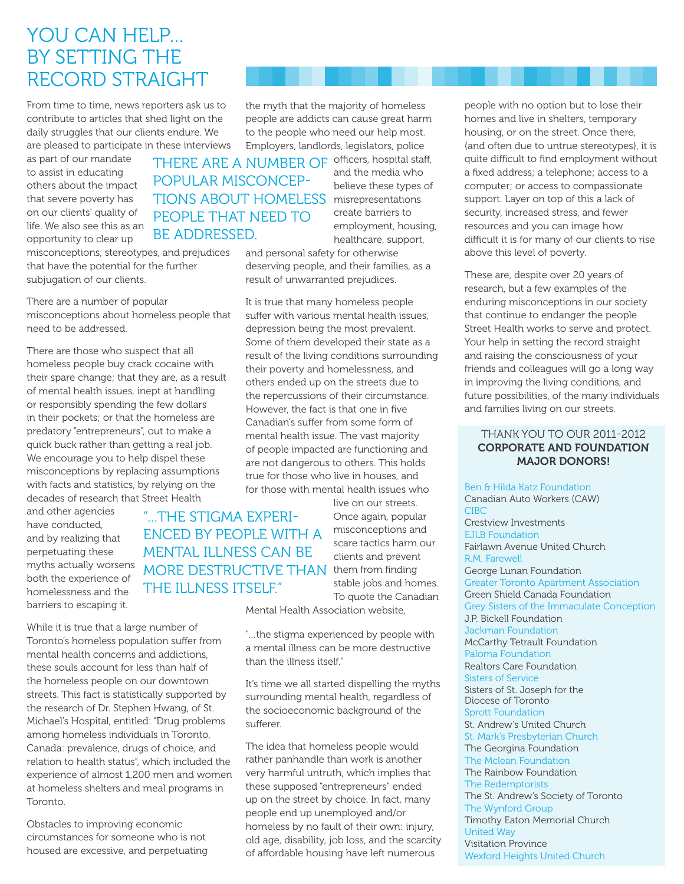## You Can Help… BY SETTING THE Record Straight

From time to time, news reporters ask us to contribute to articles that shed light on the daily struggles that our clients endure. We are pleased to participate in these interviews

as part of our mandate to assist in educating others about the impact that severe poverty has on our clients' quality of life. We also see this as an opportunity to clear up

misconceptions, stereotypes, and prejudices that have the potential for the further subjugation of our clients.

There are a number of popular misconceptions about homeless people that need to be addressed.

There are those who suspect that all homeless people buy crack cocaine with their spare change; that they are, as a result of mental health issues, inept at handling or responsibly spending the few dollars in their pockets; or that the homeless are predatory "entrepreneurs", out to make a quick buck rather than getting a real job. We encourage you to help dispel these misconceptions by replacing assumptions with facts and statistics, by relying on the decades of research that Street Health

and other agencies have conducted, and by realizing that perpetuating these myths actually worsens both the experience of homelessness and the barriers to escaping it.

While it is true that a large number of Toronto's homeless population suffer from mental health concerns and addictions, these souls account for less than half of the homeless people on our downtown streets. This fact is statistically supported by the research of Dr. Stephen Hwang, of St. Michael's Hospital, entitled: "Drug problems among homeless individuals in Toronto, Canada: prevalence, drugs of choice, and relation to health status", which included the experience of almost 1,200 men and women at homeless shelters and meal programs in Toronto.

Obstacles to improving economic circumstances for someone who is not housed are excessive, and perpetuating

the myth that the majority of homeless people are addicts can cause great harm to the people who need our help most. Employers, landlords, legislators, police

THERE ARE A NUMBER OF officers, hospital staff, TIONS ABOUT HOMELESS misrepresentations popular misconceppeople that need to be addressed.

and the media who believe these types of create barriers to employment, housing, healthcare, support,

and personal safety for otherwise deserving people, and their families, as a result of unwarranted prejudices.

It is true that many homeless people suffer with various mental health issues, depression being the most prevalent. Some of them developed their state as a result of the living conditions surrounding their poverty and homelessness, and others ended up on the streets due to the repercussions of their circumstance. However, the fact is that one in five Canadian's suffer from some form of mental health issue. The vast majority of people impacted are functioning and are not dangerous to others. This holds true for those who live in houses, and for those with mental health issues who

live on our streets. Once again, popular misconceptions and scare tactics harm our clients and prevent MORE DESTRUCTIVE THAN them from finding stable jobs and homes. To quote the Canadian "…the stigma experienced by people with a mental illness can be the illness itself."

Mental Health Association website,

"…the stigma experienced by people with a mental illness can be more destructive than the illness itself"

It's time we all started dispelling the myths surrounding mental health, regardless of the socioeconomic background of the sufferer.

The idea that homeless people would rather panhandle than work is another very harmful untruth, which implies that these supposed "entrepreneurs" ended up on the street by choice. In fact, many people end up unemployed and/or homeless by no fault of their own: injury, old age, disability, job loss, and the scarcity of affordable housing have left numerous

people with no option but to lose their homes and live in shelters, temporary housing, or on the street. Once there, (and often due to untrue stereotypes), it is quite difficult to find employment without a fixed address; a telephone; access to a computer; or access to compassionate support. Layer on top of this a lack of security, increased stress, and fewer resources and you can image how difficult it is for many of our clients to rise above this level of poverty.

These are, despite over 20 years of research, but a few examples of the enduring misconceptions in our society that continue to endanger the people Street Health works to serve and protect. Your help in setting the record straight and raising the consciousness of your friends and colleagues will go a long way in improving the living conditions, and future possibilities, of the many individuals and families living on our streets.

## Thank you to our 2011-2012 Corporate and Foundation Major Donors!

Ben & Hilda Katz Foundation Canadian Auto Workers (CAW) **CIBC** Crestview Investments EJLB Foundation Fairlawn Avenue United Church R.M. Farewell George Lunan Foundation Greater Toronto Apartment Association Green Shield Canada Foundation Grey Sisters of the Immaculate Conception J.P. Bickell Foundation Jackman Foundation McCarthy Tetrault Foundation Paloma Foundation Realtors Care Foundation Sisters of Service Sisters of St. Joseph for the Diocese of Toronto Sprott Foundation St. Andrew's United Church St. Mark's Presbyterian Church The Georgina Foundation The Mclean Foundation The Rainbow Foundation The Redemptorists The St. Andrew's Society of Toronto The Wynford Group Timothy Eaton Memorial Church United Way Visitation Province Wexford Heights United Church